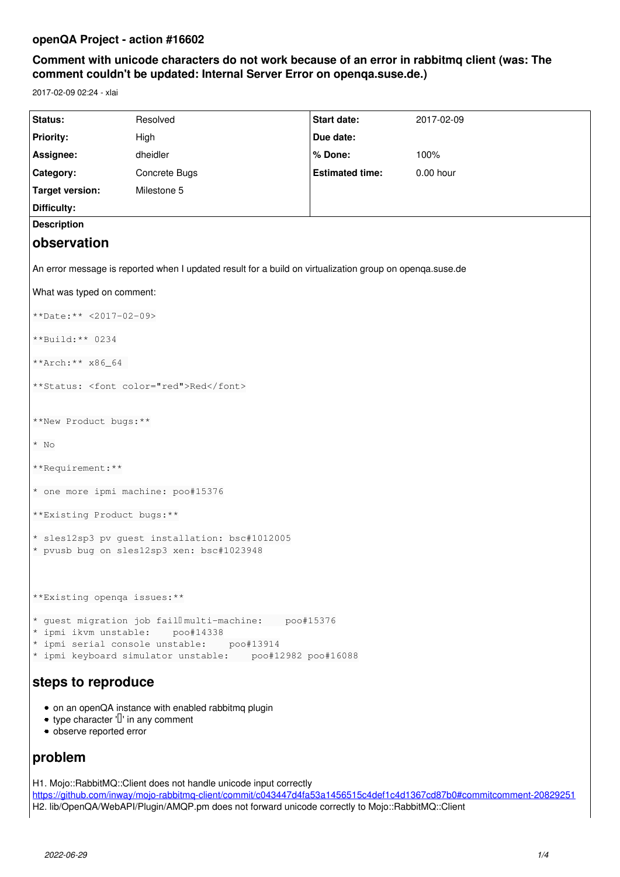# **openQA Project - action #16602**

# **Comment with unicode characters do not work because of an error in rabbitmq client (was: The comment couldn't be updated: Internal Server Error on openqa.suse.de.)**

2017-02-09 02:24 - xlai

| Status:                                                                                                                                                                                        | Resolved      | Start date:            | 2017-02-09 |
|------------------------------------------------------------------------------------------------------------------------------------------------------------------------------------------------|---------------|------------------------|------------|
| <b>Priority:</b>                                                                                                                                                                               | High          | Due date:              |            |
| Assignee:                                                                                                                                                                                      | dheidler      | % Done:                | 100%       |
| Category:                                                                                                                                                                                      | Concrete Bugs | <b>Estimated time:</b> | 0.00 hour  |
| <b>Target version:</b>                                                                                                                                                                         | Milestone 5   |                        |            |
| Difficulty:                                                                                                                                                                                    |               |                        |            |
| <b>Description</b>                                                                                                                                                                             |               |                        |            |
| observation                                                                                                                                                                                    |               |                        |            |
| An error message is reported when I updated result for a build on virtualization group on openqa.suse.de                                                                                       |               |                        |            |
| What was typed on comment:                                                                                                                                                                     |               |                        |            |
| **Date: ** <2017-02-09>                                                                                                                                                                        |               |                        |            |
| **Build: ** 0234                                                                                                                                                                               |               |                        |            |
| **Arch: ** x86_64                                                                                                                                                                              |               |                        |            |
| **Status: <font color="red">Red</font>                                                                                                                                                         |               |                        |            |
|                                                                                                                                                                                                |               |                        |            |
| **New Product bugs:**                                                                                                                                                                          |               |                        |            |
| $*$ No                                                                                                                                                                                         |               |                        |            |
| **Requirement:**                                                                                                                                                                               |               |                        |            |
| * one more ipmi machine: poo#15376                                                                                                                                                             |               |                        |            |
| ** Existing Product bugs: **                                                                                                                                                                   |               |                        |            |
| * sles12sp3 pv guest installation: bsc#1012005<br>* pvusb bug on sles12sp3 xen: bsc#1023948                                                                                                    |               |                        |            |
| **Existing openga issues:**                                                                                                                                                                    |               |                        |            |
| * guest migration job fail multi-machine: poo#15376<br>* ipmi ikvm unstable: poo#14338<br>* ipmi serial console unstable: poo#13914<br>* ipmi keyboard simulator unstable: poo#12982 poo#16088 |               |                        |            |
| steps to reproduce                                                                                                                                                                             |               |                        |            |
| • on an openQA instance with enabled rabbitmq plugin<br>• type character $\mathbb{I}$ in any comment<br>· observe reported error                                                               |               |                        |            |
| problem                                                                                                                                                                                        |               |                        |            |

H1. Mojo::RabbitMQ::Client does not handle unicode input correctly <https://github.com/inway/mojo-rabbitmq-client/commit/c043447d4fa53a1456515c4def1c4d1367cd87b0#commitcomment-20829251> H2. lib/OpenQA/WebAPI/Plugin/AMQP.pm does not forward unicode correctly to Mojo::RabbitMQ::Client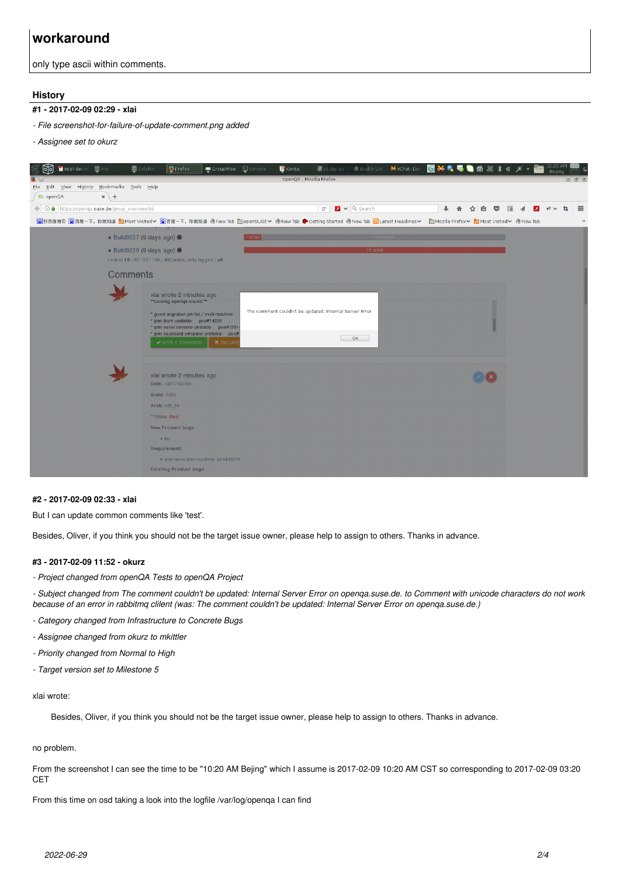# **workaround**

only type ascii within comments.

#### **History**

# **#1 - 2017-02-09 02:29 - xlai**

- *File screenshot-for-failure-of-update-comment.png added*
- *Assignee set to okurz*



#### **#2 - 2017-02-09 02:33 - xlai**

But I can update common comments like 'test'.

Besides, Oliver, if you think you should not be the target issue owner, please help to assign to others. Thanks in advance.

#### **#3 - 2017-02-09 11:52 - okurz**

*- Project changed from openQA Tests to openQA Project*

*- Subject changed from The comment couldn't be updated: Internal Server Error on openqa.suse.de. to Comment with unicode characters do not work because of an error in rabbitmq clilent (was: The comment couldn't be updated: Internal Server Error on openqa.suse.de.)*

- *Category changed from Infrastructure to Concrete Bugs*
- *Assignee changed from okurz to mkittler*
- *Priority changed from Normal to High*
- *Target version set to Milestone 5*

#### xlai wrote:

Besides, Oliver, if you think you should not be the target issue owner, please help to assign to others. Thanks in advance.

#### no problem.

From the screenshot I can see the time to be "10:20 AM Bejing" which I assume is 2017-02-09 10:20 AM CST so corresponding to 2017-02-09 03:20 CET

From this time on osd taking a look into the logfile /var/log/openqa I can find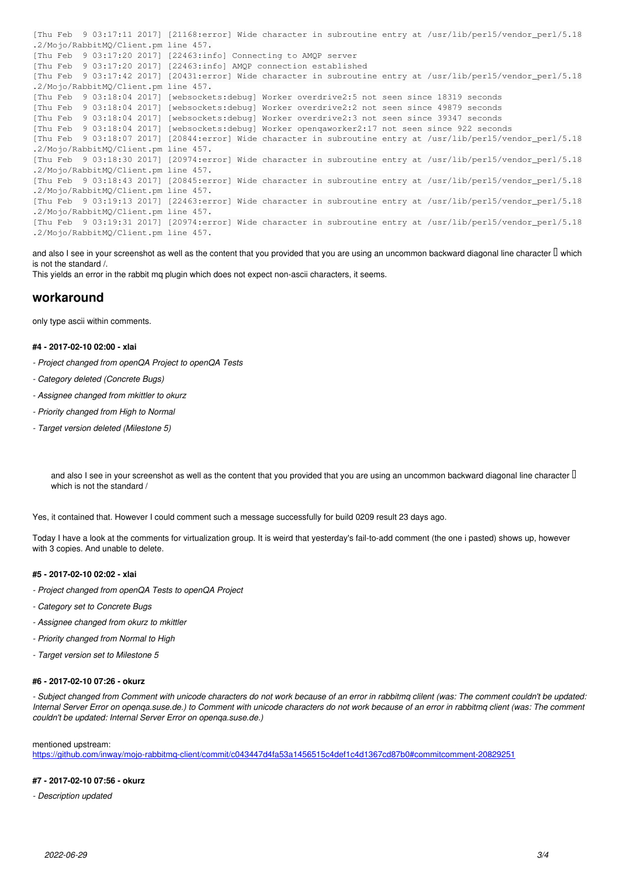```
[Thu Feb  9 03:17:11 2017] [21168:error] Wide character in subroutine entry at /usr/lib/perl5/vendor_perl/5.18
.2/Mojo/RabbitMQ/Client.pm line 457.
[Thu Feb  9 03:17:20 2017] [22463:info] Connecting to AMQP server
[Thu Feb  9 03:17:20 2017] [22463:info] AMQP connection established
[Thu Feb  9 03:17:42 2017] [20431:error] Wide character in subroutine entry at /usr/lib/perl5/vendor_perl/5.18
.2/Mojo/RabbitMQ/Client.pm line 457.
[Thu Feb  9 03:18:04 2017] [websockets:debug] Worker overdrive2:5 not seen since 18319 seconds
[Thu Feb  9 03:18:04 2017] [websockets:debug] Worker overdrive2:2 not seen since 49879 seconds
[Thu Feb  9 03:18:04 2017] [websockets:debug] Worker overdrive2:3 not seen since 39347 seconds
[Thu Feb  9 03:18:04 2017] [websockets:debug] Worker openqaworker2:17 not seen since 922 seconds
[Thu Feb  9 03:18:07 2017] [20844:error] Wide character in subroutine entry at /usr/lib/perl5/vendor_perl/5.18
.2/Mojo/RabbitMQ/Client.pm line 457.
[Thu Feb  9 03:18:30 2017] [20974:error] Wide character in subroutine entry at /usr/lib/perl5/vendor_perl/5.18
.2/Mojo/RabbitMQ/Client.pm line 457.
[Thu Feb  9 03:18:43 2017] [20845:error] Wide character in subroutine entry at /usr/lib/perl5/vendor_perl/5.18
.2/Mojo/RabbitMQ/Client.pm line 457.
[Thu Feb  9 03:19:13 2017] [22463:error] Wide character in subroutine entry at /usr/lib/perl5/vendor_perl/5.18
.2/Mojo/RabbitMQ/Client.pm line 457.
[Thu Feb  9 03:19:31 2017] [20974:error] Wide character in subroutine entry at /usr/lib/perl5/vendor_perl/5.18
.2/Mojo/RabbitMQ/Client.pm line 457.
```
and also I see in your screenshot as well as the content that you provided that you are using an uncommon backward diagonal line character  $\Box$  which is not the standard /.

This yields an error in the rabbit mq plugin which does not expect non-ascii characters, it seems.

# **workaround**

only type ascii within comments.

#### **#4 - 2017-02-10 02:00 - xlai**

- *Project changed from openQA Project to openQA Tests*
- *Category deleted (Concrete Bugs)*
- *Assignee changed from mkittler to okurz*
- *Priority changed from High to Normal*
- *Target version deleted (Milestone 5)*

and also I see in your screenshot as well as the content that you provided that you are using an uncommon backward diagonal line character U which is not the standard /

Yes, it contained that. However I could comment such a message successfully for build 0209 result 23 days ago.

Today I have a look at the comments for virtualization group. It is weird that yesterday's fail-to-add comment (the one i pasted) shows up, however with 3 copies. And unable to delete.

#### **#5 - 2017-02-10 02:02 - xlai**

- *Project changed from openQA Tests to openQA Project*
- *Category set to Concrete Bugs*
- *Assignee changed from okurz to mkittler*
- *Priority changed from Normal to High*
- *Target version set to Milestone 5*

#### **#6 - 2017-02-10 07:26 - okurz**

*- Subject changed from Comment with unicode characters do not work because of an error in rabbitmq clilent (was: The comment couldn't be updated: Internal Server Error on openqa.suse.de.) to Comment with unicode characters do not work because of an error in rabbitmq client (was: The comment couldn't be updated: Internal Server Error on openqa.suse.de.)*

#### mentioned upstream:

<https://github.com/inway/mojo-rabbitmq-client/commit/c043447d4fa53a1456515c4def1c4d1367cd87b0#commitcomment-20829251>

#### **#7 - 2017-02-10 07:56 - okurz**

*- Description updated*